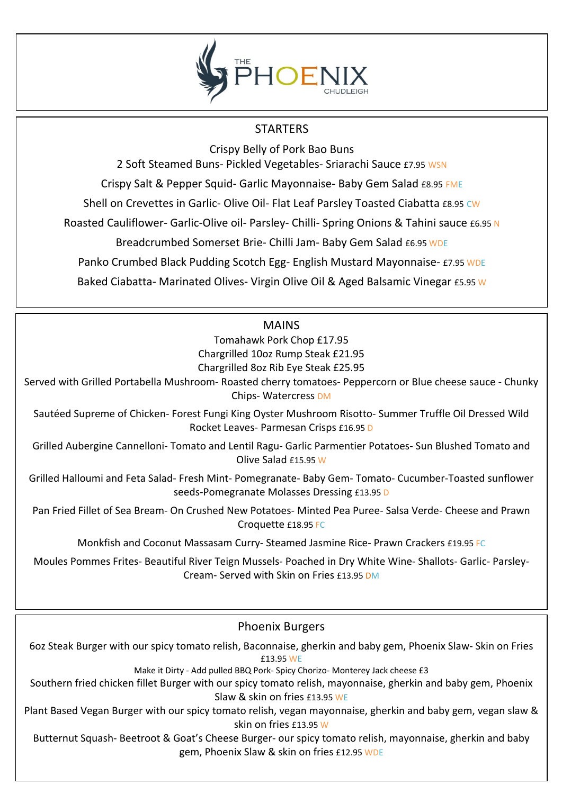

### **STARTERS**

Crispy Belly of Pork Bao Buns

2 Soft Steamed Buns- Pickled Vegetables- Sriarachi Sauce £7.95 WSN

Crispy Salt & Pepper Squid- Garlic Mayonnaise- Baby Gem Salad £8.95 FME

Shell on Crevettes in Garlic- Olive Oil- Flat Leaf Parsley Toasted Ciabatta £8.95 CW

Roasted Cauliflower- Garlic-Olive oil- Parsley- Chilli- Spring Onions & Tahini sauce £6.95 N

Breadcrumbed Somerset Brie- Chilli Jam- Baby Gem Salad £6.95 WDE

Panko Crumbed Black Pudding Scotch Egg- English Mustard Mayonnaise- £7.95 WDE

Baked Ciabatta- Marinated Olives- Virgin Olive Oil & Aged Balsamic Vinegar £5.95 W

### **MAINS**

Tomahawk Pork Chop £17.95 Chargrilled 10oz Rump Steak £21.95 Chargrilled 8oz Rib Eye Steak £25.95

Served with Grilled Portabella Mushroom- Roasted cherry tomatoes- Peppercorn or Blue cheese sauce - Chunky Chips- Watercress DM

Sautéed Supreme of Chicken- Forest Fungi King Oyster Mushroom Risotto- Summer Truffle Oil Dressed Wild Rocket Leaves- Parmesan Crisps £16.95 D

Grilled Aubergine Cannelloni- Tomato and Lentil Ragu- Garlic Parmentier Potatoes- Sun Blushed Tomato and Olive Salad £15.95 W

Grilled Halloumi and Feta Salad- Fresh Mint- Pomegranate- Baby Gem- Tomato- Cucumber-Toasted sunflower seeds-Pomegranate Molasses Dressing £13.95 D

Pan Fried Fillet of Sea Bream- On Crushed New Potatoes- Minted Pea Puree- Salsa Verde- Cheese and Prawn Croquette £18.95 FC

Monkfish and Coconut Massasam Curry- Steamed Jasmine Rice- Prawn Crackers £19.95 FC

Moules Pommes Frites- Beautiful River Teign Mussels- Poached in Dry White Wine- Shallots- Garlic- Parsley-Cream- Served with Skin on Fries £13.95 DM

### Phoenix Burgers

6oz Steak Burger with our spicy tomato relish, Baconnaise, gherkin and baby gem, Phoenix Slaw- Skin on Fries £13.95 WE

Make it Dirty - Add pulled BBQ Pork- Spicy Chorizo- Monterey Jack cheese £3

Southern fried chicken fillet Burger with our spicy tomato relish, mayonnaise, gherkin and baby gem, Phoenix Slaw & skin on fries £13.95 WE

Plant Based Vegan Burger with our spicy tomato relish, vegan mayonnaise, gherkin and baby gem, vegan slaw & skin on fries £13.95 W

Butternut Squash- Beetroot & Goat's Cheese Burger- our spicy tomato relish, mayonnaise, gherkin and baby gem, Phoenix Slaw & skin on fries £12.95 WDE